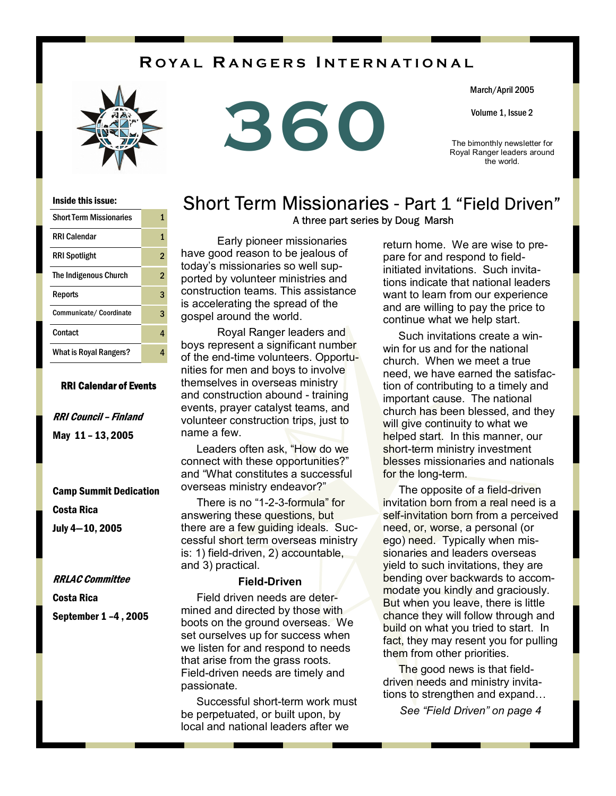## **R OYAL R ANGERS I NTERNATIONAL**





March/April 2005

Volume 1, Issue 2

The bimonthly newsletter for Royal Ranger leaders around the world.

#### Inside this issue:

| <b>Short Term Missionaries</b> |                |
|--------------------------------|----------------|
| RRI Calendar                   | 1              |
| <b>RRI Spotlight</b>           | $\overline{2}$ |
| The Indigenous Church          | 2              |
| Reports                        | 3              |
| Communicate/ Coordinate        | 3              |
| Contact                        | 4              |
| <b>What is Royal Rangers?</b>  |                |

#### RRI Calendar of Events

RRI Council – Finland May 11 – 13, 2005

Camp Summit Dedication Costa Rica July 4—10, 2005

#### RRLAC Committee

Costa Rica

#### September 1 –4 , 2005

# Short Term Missionaries - Part 1 "Field Driven"

 Early pioneer missionaries have good reason to be jealous of today's missionaries so well supported by volunteer ministries and construction teams. This assistance is accelerating the spread of the gospel around the world.

 Royal Ranger leaders and boys represent a significant number of the end-time volunteers. Opportunities for men and boys to involve themselves in overseas ministry and construction abound - training events, prayer catalyst teams, and volunteer construction trips, just to name a few.

 Leaders often ask, "How do we connect with these opportunities?" and "What constitutes a successful overseas ministry endeavor?"

 There is no "1-2-3-formula" for answering these questions, but there are a few guiding ideals. Successful short term overseas ministry is: 1) field-driven, 2) accountable, and 3) practical.

#### **Field-Driven**

 Field driven needs are determined and directed by those with boots on the ground overseas. We set ourselves up for success when we listen for and respond to needs that arise from the grass roots. Field-driven needs are timely and passionate.

 Successful short-term work must be perpetuated, or built upon, by local and national leaders after we

return home. We are wise to prepare for and respond to fieldinitiated invitations. Such invitations indicate that national leaders want to learn from our experience and are willing to pay the price to continue what we help start.

 Such invitations create a winwin for us and for the national church. When we meet a true need, we have earned the satisfaction of contributing to a timely and important cause. The national church has been blessed, and they will give continuity to what we helped start. In this manner, our short-term ministry investment blesses missionaries and nationals for the long-term.

 The opposite of a field-driven invitation born from a real need is a self-invitation born from a perceived need, or, worse, a personal (or ego) need. Typically when missionaries and leaders overseas yield to such invitations, they are bending over backwards to accommodate you kindly and graciously. But when you leave, there is little chance they will follow through and build on what you tried to start. In fact, they may resent you for pulling them from other priorities.

 The good news is that fielddriven needs and ministry invitations to strengthen and expand...

*See "Field Driven" on page 4*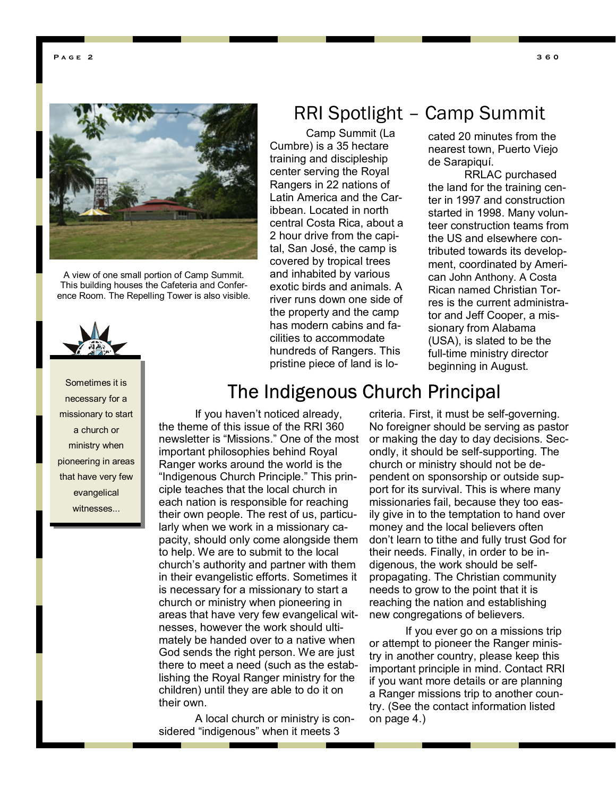

A view of one small portion of Camp Summit. This building houses the Cafeteria and Conference Room. The Repelling Tower is also visible.



Sometimes it is necessary for a missionary to start a church or ministry when pioneering in areas that have very few evangelical witnesses...

## RRI Spotlight – Camp Summit

 Camp Summit (La Cumbre) is a 35 hectare training and discipleship center serving the Royal Rangers in 22 nations of Latin America and the Caribbean. Located in north central Costa Rica, about a 2 hour drive from the capital, San José, the camp is covered by tropical trees and inhabited by various exotic birds and animals. A river runs down one side of the property and the camp has modern cabins and facilities to accommodate hundreds of Rangers. This pristine piece of land is located 20 minutes from the nearest town, Puerto Viejo de Sarapiquí.

the land for the training center in 1997 and construction started in 1998. Many volunteer construction teams from the US and elsewhere contributed towards its development, coordinated by American John Anthony. A Costa Rican named Christian Torres is the current administrator and Jeff Cooper, a missionary from Alabama (USA), is slated to be the full-time ministry director beginning in August.

## The Indigenous Church Principal

 If you haven't noticed already, the theme of this issue of the RRI 360 newsletter is "Missions." One of the most important philosophies behind Royal Ranger works around the world is the "Indigenous Church Principle." This principle teaches that the local church in each nation is responsible for reaching their own people. The rest of us, particularly when we work in a missionary capacity, should only come alongside them to help. We are to submit to the local church's authority and partner with them in their evangelistic efforts. Sometimes it is necessary for a missionary to start a church or ministry when pioneering in areas that have very few evangelical witnesses, however the work should ultimately be handed over to a native when God sends the right person. We are just there to meet a need (such as the establishing the Royal Ranger ministry for the children) until they are able to do it on their own.

 A local church or ministry is considered "indigenous" when it meets 3

RRLAC purchased

criteria. First, it must be self-governing. No foreigner should be serving as pastor or making the day to day decisions. Secondly, it should be self-supporting. The church or ministry should not be dependent on sponsorship or outside support for its survival. This is where many missionaries fail, because they too easily give in to the temptation to hand over money and the local believers often don't learn to tithe and fully trust God for their needs. Finally, in order to be indigenous, the work should be selfpropagating. The Christian community needs to grow to the point that it is reaching the nation and establishing new congregations of believers.

 If you ever go on a missions trip or attempt to pioneer the Ranger ministry in another country, please keep this important principle in mind. Contact RRI if you want more details or are planning a Ranger missions trip to another country. (See the contact information listed on page 4.)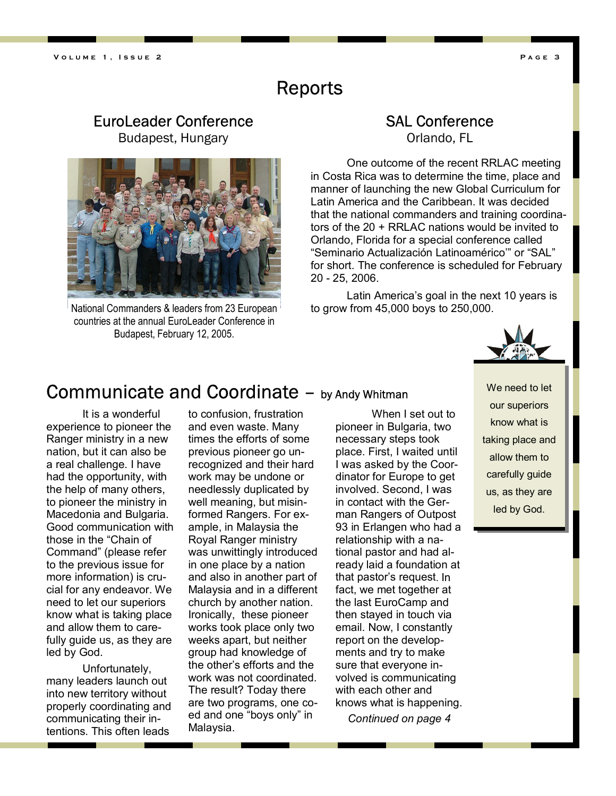## Reports

## EuroLeader Conference

Budapest, Hungary



National Commanders & leaders from 23 European countries at the annual EuroLeader Conference in Budapest, February 12, 2005.

## SAL Conference

Orlando, FL

 One outcome of the recent RRLAC meeting in Costa Rica was to determine the time, place and manner of launching the new Global Curriculum for Latin America and the Caribbean. It was decided that the national commanders and training coordinators of the 20 + RRLAC nations would be invited to Orlando, Florida for a special conference called "Seminario Actualización Latinoamérico'" or "SAL" for short. The conference is scheduled for February 20 - 25, 2006.

 Latin America's goal in the next 10 years is to grow from 45,000 boys to 250,000.



## Communicate and Coordinate – by Andy Whitman

It is a wonderful experience to pioneer the Ranger ministry in a new nation, but it can also be a real challenge. I have had the opportunity, with the help of many others, to pioneer the ministry in Macedonia and Bulgaria. Good communication with those in the "Chain of Command" (please refer to the previous issue for more information) is crucial for any endeavor. We need to let our superiors know what is taking place and allow them to carefully guide us, as they are led by God.

 Unfortunately, many leaders launch out into new territory without properly coordinating and communicating their intentions. This often leads

to confusion, frustration and even waste. Many times the efforts of some previous pioneer go unrecognized and their hard work may be undone or needlessly duplicated by well meaning, but misinformed Rangers. For example, in Malaysia the Royal Ranger ministry was unwittingly introduced in one place by a nation and also in another part of Malaysia and in a different church by another nation. Ironically, these pioneer works took place only two weeks apart, but neither group had knowledge of the other's efforts and the work was not coordinated. The result? Today there are two programs, one coed and one "boys only" in Malaysia.

 When I set out to pioneer in Bulgaria, two necessary steps took place. First, I waited until I was asked by the Coordinator for Europe to get involved. Second, I was in contact with the German Rangers of Outpost 93 in Erlangen who had a relationship with a national pastor and had already laid a foundation at that pastor's request. In fact, we met together at the last EuroCamp and then stayed in touch via email. Now, I constantly report on the developments and try to make sure that everyone involved is communicating with each other and knows what is happening.

*Continued on page 4* 

We need to let our superiors know what is taking place and allow them to carefully guide us, as they are led by God.